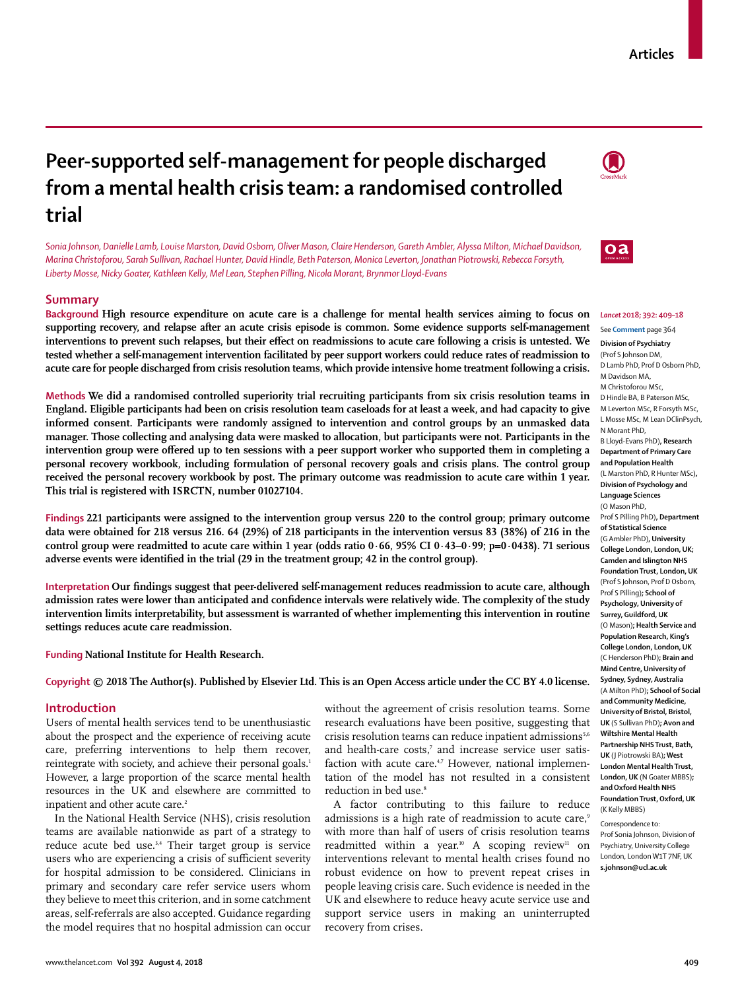#### www.thelancet.com**Vol 392 August 4, 2018 409**

# **Peer-supported self-management for people discharged from a mental health crisis team: a randomised controlled trial**

*Sonia Johnson, Danielle Lamb, Louise Marston, David Osborn, Oliver Mason, Claire Henderson, Gareth Ambler, Alyssa Milton, Michael Davidson, Marina Christoforou, Sarah Sullivan, Rachael Hunter, David Hindle, Beth Paterson, Monica Leverton, Jonathan Piotrowski, Rebecca Forsyth, Liberty Mosse, Nicky Goater, Kathleen Kelly, Mel Lean, Stephen Pilling, Nicola Morant, Brynmor Lloyd-Evans*

# **Summary**

**Background High resource expenditure on acute care is a challenge for mental health services aiming to focus on supporting recovery, and relapse after an acute crisis episode is common. Some evidence supports self-management interventions to prevent such relapses, but their effect on readmissions to acute care following a crisis is untested. We tested whether a self-management intervention facilitated by peer support workers could reduce rates of readmission to acute care for people discharged from crisis resolution teams, which provide intensive home treatment following a crisis.**

**Methods We did a randomised controlled superiority trial recruiting participants from six crisis resolution teams in England. Eligible participants had been on crisis resolution team caseloads for at least a week, and had capacity to give informed consent. Participants were randomly assigned to intervention and control groups by an unmasked data manager. Those collecting and analysing data were masked to allocation, but participants were not. Participants in the intervention group were offered up to ten sessions with a peer support worker who supported them in completing a personal recovery workbook, including formulation of personal recovery goals and crisis plans. The control group received the personal recovery workbook by post. The primary outcome was readmission to acute care within 1 year. This trial is registered with ISRCTN, number 01027104.**

**Findings 221 participants were assigned to the intervention group versus 220 to the control group; primary outcome data were obtained for 218 versus 216. 64 (29%) of 218 participants in the intervention versus 83 (38%) of 216 in the control group were readmitted to acute care within 1 year (odds ratio 0·66, 95% CI 0·43–0·99; p=0·0438). 71 serious adverse events were identified in the trial (29 in the treatment group; 42 in the control group).**

**Interpretation Our findings suggest that peer-delivered self-management reduces readmission to acute care, although admission rates were lower than anticipated and confidence intervals were relatively wide. The complexity of the study intervention limits interpretability, but assessment is warranted of whether implementing this intervention in routine settings reduces acute care readmission.**

**Funding National Institute for Health Research.**

**Copyright © 2018 The Author(s). Published by Elsevier Ltd. This is an Open Access article under the CC BY 4.0 license.**

#### **Introduction**

Users of mental health services tend to be unenthusiastic about the prospect and the experience of receiving acute care, preferring interventions to help them recover, reintegrate with society, and achieve their personal goals.<sup>1</sup> However, a large proportion of the scarce mental health resources in the UK and elsewhere are committed to inpatient and other acute care.<sup>2</sup>

In the National Health Service (NHS), crisis resolution teams are available nationwide as part of a strategy to reduce acute bed use.<sup>3,4</sup> Their target group is service users who are experiencing a crisis of sufficient severity for hospital admission to be considered. Clinicians in primary and secondary care refer service users whom they believe to meet this criterion, and in some catchment areas, self-referrals are also accepted. Guidance regarding the model requires that no hospital admission can occur without the agreement of crisis resolution teams. Some research evaluations have been positive, suggesting that crisis resolution teams can reduce inpatient admissions<sup>5,6</sup> and health-care costs,<sup>7</sup> and increase service user satisfaction with acute care.<sup>4,7</sup> However, national implementation of the model has not resulted in a consistent reduction in bed use.<sup>8</sup>

A factor contributing to this failure to reduce admissions is a high rate of readmission to acute care,<sup>9</sup> with more than half of users of crisis resolution teams readmitted within a year.<sup>10</sup> A scoping review<sup>11</sup> on interventions relevant to mental health crises found no robust evidence on how to prevent repeat crises in people leaving crisis care. Such evidence is needed in the UK and elsewhere to reduce heavy acute service use and support service users in making an uninterrupted recovery from crises.





## *Lancet* **2018; 392: 409–18**

See **Comment** page 364

**Division of Psychiatry** (Prof S Johnson DM, D Lamb PhD, Prof D Osborn PhD, M Davidson MA, M Christoforou MSc, D Hindle BA, B Paterson MSc, M Leverton MSc, R Forsyth MSc, L Mosse MSc, M Lean DClinPsych, N Morant PhD, B Lloyd-Evans PhD)**, Research Department of Primary Care and Population Health**  (L Marston PhD, R Hunter MSc)**, Division of Psychology and Language Sciences** (O Mason PhD, Prof S Pilling PhD)**, Department of Statistical Science** (G Ambler PhD)**, University College London, London, UK; Camden and Islington NHS Foundation Trust, London, UK**  (Prof S Johnson, Prof D Osborn, Prof S Pilling)**; School of Psychology, University of Surrey, Guildford, UK** (O Mason)**; Health Service and Population Research, King's College London, London, UK** (C Henderson PhD)**; Brain and Mind Centre, University of Sydney, Sydney, Australia** (A Milton PhD)**; School of Social and Community Medicine, University of Bristol, Bristol, UK** (S Sullivan PhD)**; Avon and Wiltshire Mental Health Partnership NHS Trust, Bath, UK** (J Piotrowski BA)**; West London Mental Health Trust, London, UK** (N Goater MBBS)**; and Oxford Health NHS Foundation Trust, Oxford, UK**  (K Kelly MBBS)

Correspondence to: Prof Sonia Johnson, Division of Psychiatry, University College London, London W1T 7NF, LIK **s.johnson@ucl.ac.uk**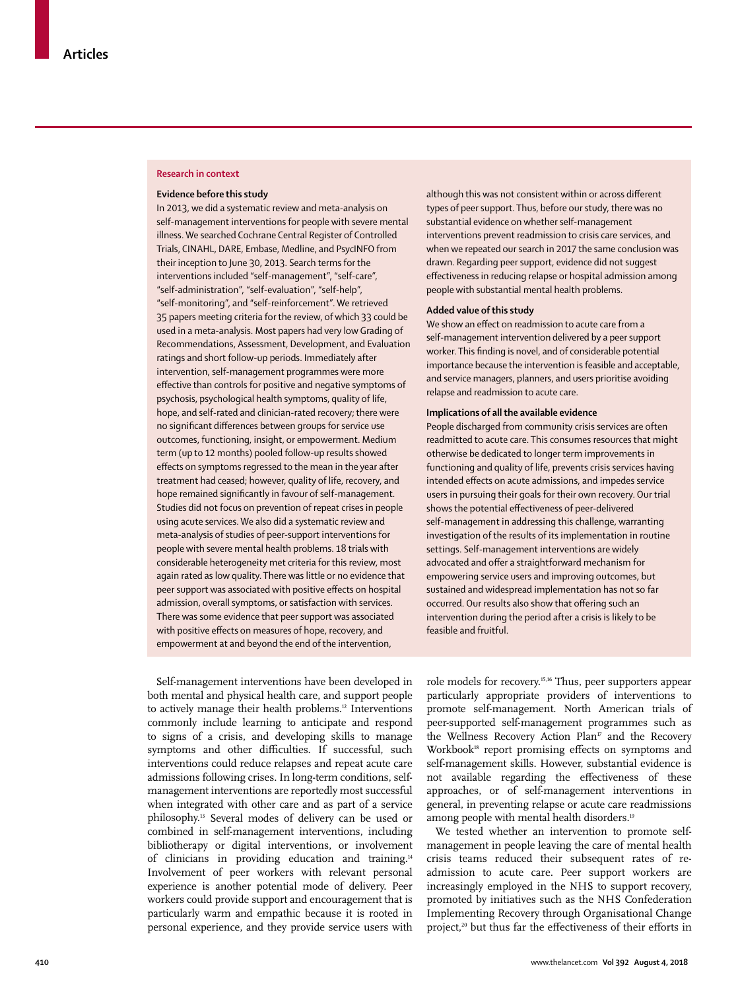#### **Research in context**

#### **Evidence before this study**

In 2013, we did a systematic review and meta-analysis on self-management interventions for people with severe mental illness. We searched Cochrane Central Register of Controlled Trials, CINAHL, DARE, Embase, Medline, and PsycINFO from their inception to June 30, 2013. Search terms for the interventions included "self-management", "self-care", "self-administration", "self-evaluation", "self-help", "self-monitoring", and "self-reinforcement". We retrieved 35 papers meeting criteria for the review, of which 33 could be used in a meta-analysis. Most papers had very low Grading of Recommendations, Assessment, Development, and Evaluation ratings and short follow-up periods. Immediately after intervention, self-management programmes were more effective than controls for positive and negative symptoms of psychosis, psychological health symptoms, quality of life, hope, and self-rated and clinician-rated recovery; there were no significant differences between groups for service use outcomes, functioning, insight, or empowerment. Medium term (up to 12 months) pooled follow-up results showed effects on symptoms regressed to the mean in the year after treatment had ceased; however, quality of life, recovery, and hope remained significantly in favour of self-management. Studies did not focus on prevention of repeat crises in people using acute services. We also did a systematic review and meta-analysis of studies of peer-support interventions for people with severe mental health problems. 18 trials with considerable heterogeneity met criteria for this review, most again rated as low quality. There was little or no evidence that peer support was associated with positive effects on hospital admission, overall symptoms, or satisfaction with services. There was some evidence that peer support was associated with positive effects on measures of hope, recovery, and empowerment at and beyond the end of the intervention,

although this was not consistent within or across different types of peer support. Thus, before our study, there was no substantial evidence on whether self-management interventions prevent readmission to crisis care services, and when we repeated our search in 2017 the same conclusion was drawn. Regarding peer support, evidence did not suggest effectiveness in reducing relapse or hospital admission among people with substantial mental health problems.

#### **Added value of this study**

We show an effect on readmission to acute care from a self-management intervention delivered by a peer support worker. This finding is novel, and of considerable potential importance because the intervention is feasible and acceptable, and service managers, planners, and users prioritise avoiding relapse and readmission to acute care.

#### **Implications of all the available evidence**

People discharged from community crisis services are often readmitted to acute care. This consumes resources that might otherwise be dedicated to longer term improvements in functioning and quality of life, prevents crisis services having intended effects on acute admissions, and impedes service users in pursuing their goals for their own recovery. Our trial shows the potential effectiveness of peer-delivered self-management in addressing this challenge, warranting investigation of the results of its implementation in routine settings. Self-management interventions are widely advocated and offer a straightforward mechanism for empowering service users and improving outcomes, but sustained and widespread implementation has not so far occurred. Our results also show that offering such an intervention during the period after a crisis is likely to be feasible and fruitful.

Self-management interventions have been developed in both mental and physical health care, and support people to actively manage their health problems.<sup>12</sup> Interventions commonly include learning to anticipate and respond to signs of a crisis, and developing skills to manage symptoms and other difficulties. If successful, such interventions could reduce relapses and repeat acute care admissions following crises. In long-term conditions, selfmanagement interventions are reportedly most successful when integrated with other care and as part of a service philosophy.13 Several modes of delivery can be used or combined in self-management interventions, including bibliotherapy or digital interventions, or involvement of clinicians in providing education and training.<sup>14</sup> Involvement of peer workers with relevant personal experience is another potential mode of delivery. Peer workers could provide support and encouragement that is particularly warm and empathic because it is rooted in personal experience, and they provide service users with role models for recovery.15,16 Thus, peer supporters appear particularly appropriate providers of interventions to promote self-management. North American trials of peer-supported self-management programmes such as the Wellness Recovery Action Plan<sup> $\sigma$ </sup> and the Recovery Workbook<sup>18</sup> report promising effects on symptoms and self-management skills. However, substantial evidence is not available regarding the effectiveness of these approaches, or of self-management interventions in general, in preventing relapse or acute care readmissions among people with mental health disorders.<sup>19</sup>

We tested whether an intervention to promote selfmanagement in people leaving the care of mental health crisis teams reduced their subsequent rates of readmission to acute care. Peer support workers are increasingly employed in the NHS to support recovery, promoted by initiatives such as the NHS Confederation Implementing Recovery through Organisational Change project,<sup>20</sup> but thus far the effectiveness of their efforts in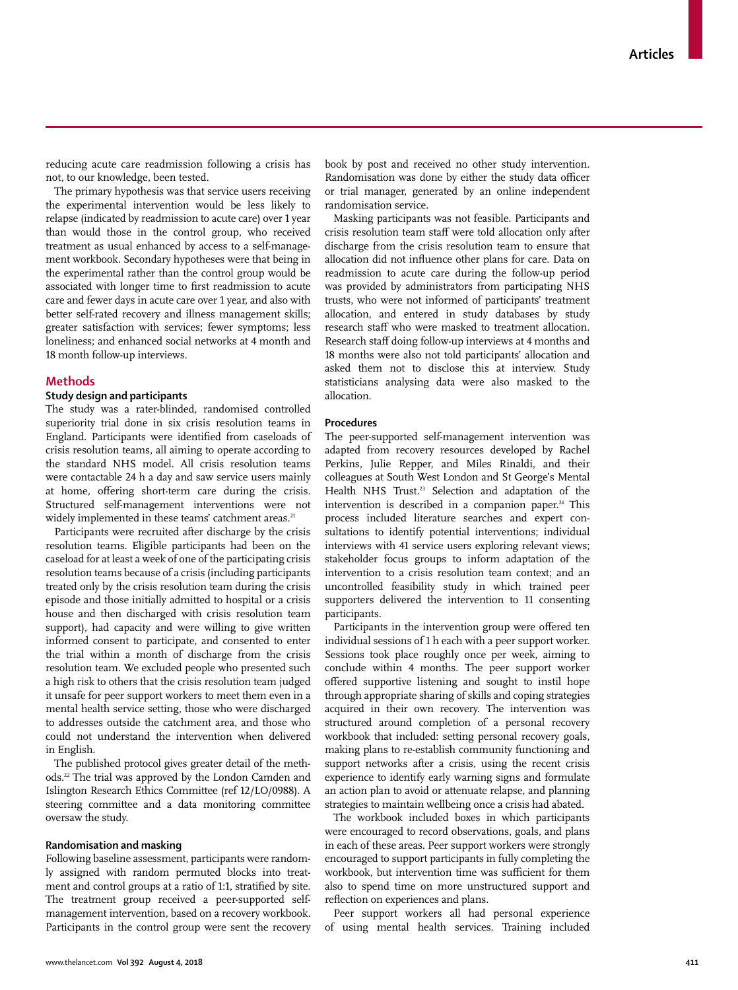reducing acute care readmission following a crisis has not, to our knowledge, been tested.

The primary hypothesis was that service users receiving the experimental intervention would be less likely to relapse (indicated by readmission to acute care) over 1 year than would those in the control group, who received treatment as usual enhanced by access to a self-management workbook. Secondary hypotheses were that being in the experimental rather than the control group would be associated with longer time to first readmission to acute care and fewer days in acute care over 1 year, and also with better self-rated recovery and illness management skills; greater satisfaction with services; fewer symptoms; less loneliness; and enhanced social networks at 4 month and 18 month follow-up interviews.

## **Methods**

## **Study design and participants**

The study was a rater-blinded, randomised controlled superiority trial done in six crisis resolution teams in England. Participants were identified from caseloads of crisis resolution teams, all aiming to operate according to the standard NHS model. All crisis resolution teams were contactable 24 h a day and saw service users mainly at home, offering short-term care during the crisis. Structured self-management interventions were not widely implemented in these teams' catchment areas.<sup>21</sup>

Participants were recruited after discharge by the crisis resolution teams. Eligible participants had been on the caseload for at least a week of one of the participating crisis resolution teams because of a crisis (including participants treated only by the crisis resolution team during the crisis episode and those initially admitted to hospital or a crisis house and then discharged with crisis resolution team support), had capacity and were willing to give written informed consent to participate, and consented to enter the trial within a month of discharge from the crisis resolution team. We excluded people who presented such a high risk to others that the crisis resolution team judged it unsafe for peer support workers to meet them even in a mental health service setting, those who were discharged to addresses outside the catchment area, and those who could not understand the intervention when delivered in English.

The published protocol gives greater detail of the methods.22 The trial was approved by the London Camden and Islington Research Ethics Committee (ref 12/LO/0988). A steering committee and a data monitoring committee oversaw the study.

# **Randomisation and masking**

Following baseline assessment, participants were randomly assigned with random permuted blocks into treatment and control groups at a ratio of 1:1, stratified by site. The treatment group received a peer-supported selfmanagement intervention, based on a recovery workbook. Participants in the control group were sent the recovery book by post and received no other study intervention. Randomisation was done by either the study data officer or trial manager, generated by an online independent randomisation service.

Masking participants was not feasible. Participants and crisis resolution team staff were told allocation only after discharge from the crisis resolution team to ensure that allocation did not influence other plans for care. Data on readmission to acute care during the follow-up period was provided by administrators from participating NHS trusts, who were not informed of participants' treatment allocation, and entered in study databases by study research staff who were masked to treatment allocation. Research staff doing follow-up interviews at 4 months and 18 months were also not told participants' allocation and asked them not to disclose this at interview. Study statisticians analysing data were also masked to the allocation.

## **Procedures**

The peer-supported self-management intervention was adapted from recovery resources developed by Rachel Perkins, Julie Repper, and Miles Rinaldi, and their colleagues at South West London and St George's Mental Health NHS Trust.<sup>23</sup> Selection and adaptation of the intervention is described in a companion paper. $24$  This process included literature searches and expert consultations to identify potential interventions; individual interviews with 41 service users exploring relevant views; stakeholder focus groups to inform adaptation of the intervention to a crisis resolution team context; and an uncontrolled feasibility study in which trained peer supporters delivered the intervention to 11 consenting participants.

Participants in the intervention group were offered ten individual sessions of 1 h each with a peer support worker. Sessions took place roughly once per week, aiming to conclude within 4 months. The peer support worker offered supportive listening and sought to instil hope through appropriate sharing of skills and coping strategies acquired in their own recovery. The intervention was structured around completion of a personal recovery workbook that included: setting personal recovery goals, making plans to re-establish community functioning and support networks after a crisis, using the recent crisis experience to identify early warning signs and formulate an action plan to avoid or attenuate relapse, and planning strategies to maintain wellbeing once a crisis had abated.

The workbook included boxes in which participants were encouraged to record observations, goals, and plans in each of these areas. Peer support workers were strongly encouraged to support participants in fully completing the workbook, but intervention time was sufficient for them also to spend time on more unstructured support and reflection on experiences and plans.

Peer support workers all had personal experience of using mental health services. Training included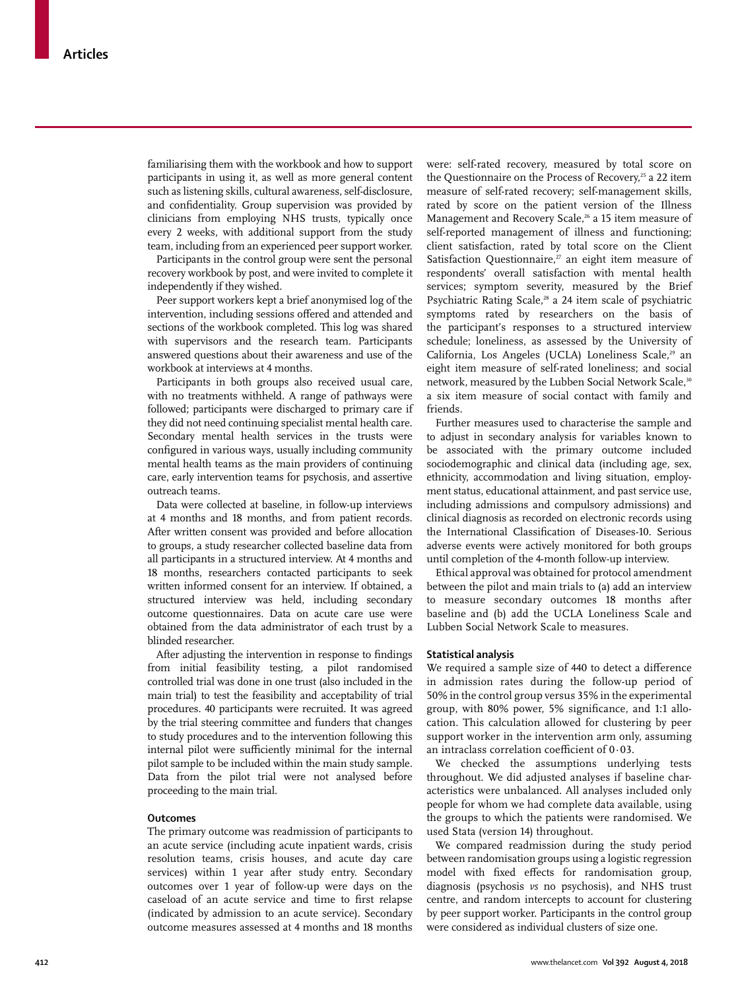familiarising them with the workbook and how to support participants in using it, as well as more general content such as listening skills, cultural awareness, self-disclosure, and confidentiality. Group supervision was provided by clinicians from employing NHS trusts, typically once every 2 weeks, with additional support from the study team, including from an experienced peer support worker.

Participants in the control group were sent the personal recovery workbook by post, and were invited to complete it independently if they wished.

Peer support workers kept a brief anonymised log of the intervention, including sessions offered and attended and sections of the workbook completed. This log was shared with supervisors and the research team. Participants answered questions about their awareness and use of the workbook at interviews at 4 months.

Participants in both groups also received usual care, with no treatments withheld. A range of pathways were followed; participants were discharged to primary care if they did not need continuing specialist mental health care. Secondary mental health services in the trusts were configured in various ways, usually including community mental health teams as the main providers of continuing care, early intervention teams for psychosis, and assertive outreach teams.

Data were collected at baseline, in follow-up interviews at 4 months and 18 months, and from patient records. After written consent was provided and before allocation to groups, a study researcher collected baseline data from all participants in a structured interview. At 4 months and 18 months, researchers contacted participants to seek written informed consent for an interview. If obtained, a structured interview was held, including secondary outcome questionnaires. Data on acute care use were obtained from the data administrator of each trust by a blinded researcher.

After adjusting the intervention in response to findings from initial feasibility testing, a pilot randomised controlled trial was done in one trust (also included in the main trial) to test the feasibility and acceptability of trial procedures. 40 participants were recruited. It was agreed by the trial steering committee and funders that changes to study procedures and to the intervention following this internal pilot were sufficiently minimal for the internal pilot sample to be included within the main study sample. Data from the pilot trial were not analysed before proceeding to the main trial.

## **Outcomes**

The primary outcome was readmission of participants to an acute service (including acute inpatient wards, crisis resolution teams, crisis houses, and acute day care services) within 1 year after study entry. Secondary outcomes over 1 year of follow-up were days on the caseload of an acute service and time to first relapse (indicated by admission to an acute service). Secondary outcome measures assessed at 4 months and 18 months were: self-rated recovery, measured by total score on the Questionnaire on the Process of Recovery,<sup>25</sup> a 22 item measure of self-rated recovery; self-management skills, rated by score on the patient version of the Illness Management and Recovery Scale,<sup>26</sup> a 15 item measure of self-reported management of illness and functioning; client satisfaction, rated by total score on the Client Satisfaction Questionnaire, $z<sup>7</sup>$  an eight item measure of respondents' overall satisfaction with mental health services; symptom severity, measured by the Brief Psychiatric Rating Scale,<sup>28</sup> a 24 item scale of psychiatric symptoms rated by researchers on the basis of the participant's responses to a structured interview schedule; loneliness, as assessed by the University of California, Los Angeles (UCLA) Loneliness Scale,<sup>29</sup> an eight item measure of self-rated loneliness; and social network, measured by the Lubben Social Network Scale,<sup>30</sup> a six item measure of social contact with family and friends.

Further measures used to characterise the sample and to adjust in secondary analysis for variables known to be associated with the primary outcome included sociodemographic and clinical data (including age, sex, ethnicity, accommodation and living situation, employment status, educational attainment, and past service use, including admissions and compulsory admissions) and clinical diagnosis as recorded on electronic records using the International Classification of Diseases-10. Serious adverse events were actively monitored for both groups until completion of the 4-month follow-up interview.

Ethical approval was obtained for protocol amendment between the pilot and main trials to (a) add an interview to measure secondary outcomes 18 months after baseline and (b) add the UCLA Loneliness Scale and Lubben Social Network Scale to measures.

#### **Statistical analysis**

We required a sample size of 440 to detect a difference in admission rates during the follow-up period of 50% in the control group versus 35% in the experimental group, with 80% power, 5% significance, and 1:1 allocation. This calculation allowed for clustering by peer support worker in the intervention arm only, assuming an intraclass correlation coefficient of 0·03.

We checked the assumptions underlying tests throughout. We did adjusted analyses if baseline characteristics were unbalanced. All analyses included only people for whom we had complete data available, using the groups to which the patients were randomised. We used Stata (version 14) throughout.

We compared readmission during the study period between randomisation groups using a logistic regression model with fixed effects for randomisation group, diagnosis (psychosis *vs* no psychosis), and NHS trust centre, and random intercepts to account for clustering by peer support worker. Participants in the control group were considered as individual clusters of size one.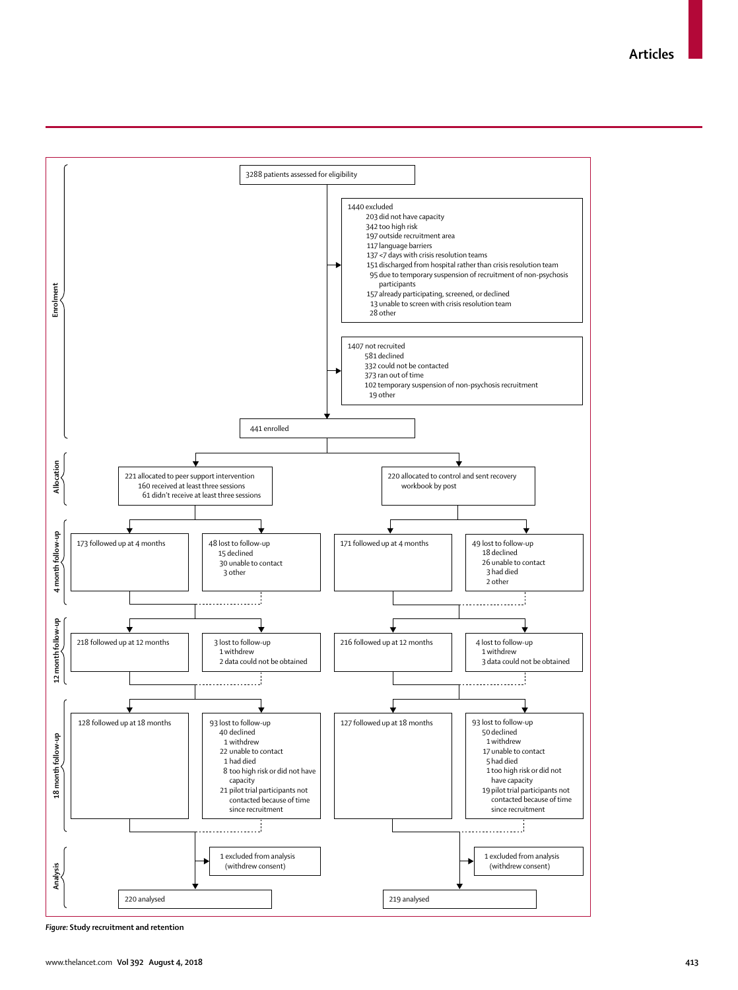

*Figure:* **Study recruitment and retention**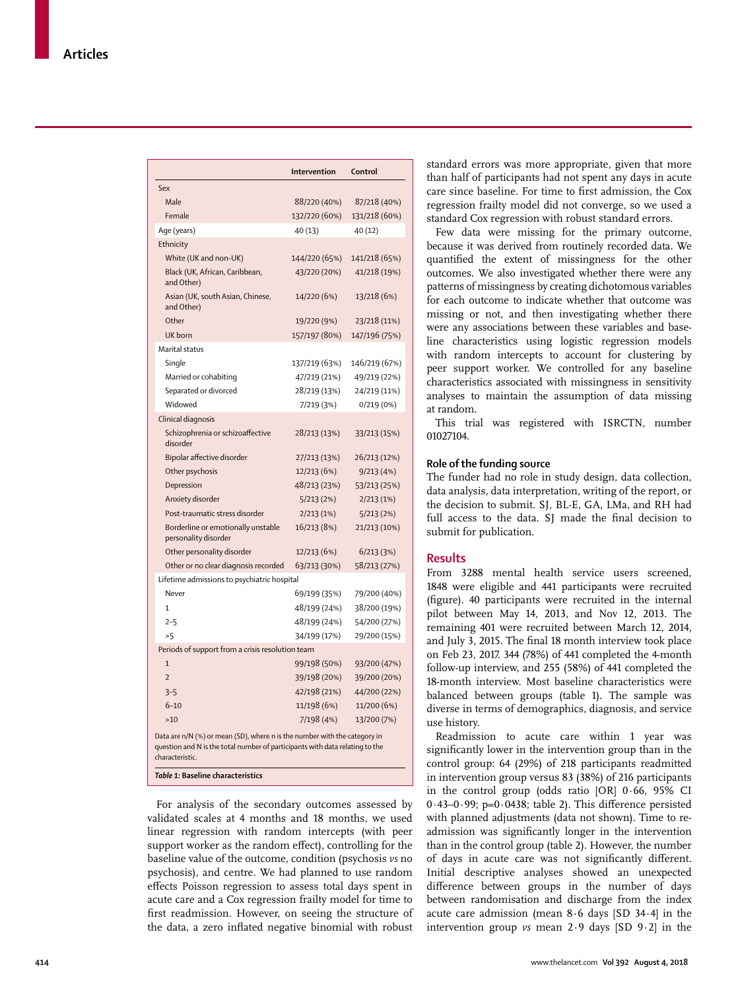| Sex                                                                                                                                                                                                               |               |               |  |
|-------------------------------------------------------------------------------------------------------------------------------------------------------------------------------------------------------------------|---------------|---------------|--|
|                                                                                                                                                                                                                   |               |               |  |
| Male                                                                                                                                                                                                              | 88/220 (40%)  | 87/218 (40%)  |  |
| Female                                                                                                                                                                                                            | 132/220 (60%) | 131/218 (60%) |  |
| Age (years)                                                                                                                                                                                                       | 40 (13)       | 40 (12)       |  |
| Ethnicity                                                                                                                                                                                                         |               |               |  |
| White (UK and non-UK)                                                                                                                                                                                             | 144/220 (65%) | 141/218 (65%) |  |
| Black (UK, African, Caribbean,<br>and Other)                                                                                                                                                                      | 43/220 (20%)  | 41/218 (19%)  |  |
| Asian (UK, south Asian, Chinese,<br>and Other)                                                                                                                                                                    | 14/220 (6%)   | 13/218 (6%)   |  |
| Other                                                                                                                                                                                                             | 19/220 (9%)   | 23/218 (11%)  |  |
| UK born                                                                                                                                                                                                           | 157/197 (80%) | 147/196 (75%) |  |
| Marital status                                                                                                                                                                                                    |               |               |  |
| Single                                                                                                                                                                                                            | 137/219 (63%) | 146/219 (67%) |  |
| Married or cohabiting                                                                                                                                                                                             | 47/219 (21%)  | 49/219 (22%)  |  |
| Separated or divorced                                                                                                                                                                                             | 28/219 (13%)  | 24/219 (11%)  |  |
| Widowed                                                                                                                                                                                                           | 7/219 (3%)    | 0/219(0%)     |  |
| Clinical diagnosis                                                                                                                                                                                                |               |               |  |
| Schizophrenia or schizoaffective<br>disorder                                                                                                                                                                      | 28/213 (13%)  | 33/213 (15%)  |  |
| Bipolar affective disorder                                                                                                                                                                                        | 27/213 (13%)  | 26/213 (12%)  |  |
| Other psychosis                                                                                                                                                                                                   | 12/213 (6%)   | 9/213(4%)     |  |
| Depression                                                                                                                                                                                                        | 48/213 (23%)  | 53/213 (25%)  |  |
| Anxiety disorder                                                                                                                                                                                                  | 5/213(2%)     | 2/213(1%)     |  |
| Post-traumatic stress disorder                                                                                                                                                                                    | 2/213(1%)     | 5/213(2%)     |  |
| Borderline or emotionally unstable<br>personality disorder                                                                                                                                                        | 16/213 (8%)   | 21/213 (10%)  |  |
| Other personality disorder                                                                                                                                                                                        | 12/213 (6%)   | 6/213(3%)     |  |
| Other or no clear diagnosis recorded                                                                                                                                                                              | 63/213 (30%)  | 58/213 (27%)  |  |
| Lifetime admissions to psychiatric hospital                                                                                                                                                                       |               |               |  |
| Never                                                                                                                                                                                                             | 69/199 (35%)  | 79/200 (40%)  |  |
| $\mathbf{1}$                                                                                                                                                                                                      | 48/199 (24%)  | 38/200 (19%)  |  |
| $2 - 5$                                                                                                                                                                                                           | 48/199 (24%)  | 54/200 (27%)  |  |
| >5                                                                                                                                                                                                                | 34/199 (17%)  | 29/200 (15%)  |  |
| Periods of support from a crisis resolution team                                                                                                                                                                  |               |               |  |
| $\mathbf{1}$                                                                                                                                                                                                      | 99/198 (50%)  | 93/200 (47%)  |  |
| $\overline{2}$                                                                                                                                                                                                    | 39/198 (20%)  | 39/200 (20%)  |  |
| $3 - 5$                                                                                                                                                                                                           | 42/198 (21%)  | 44/200 (22%)  |  |
| $6 - 10$                                                                                                                                                                                                          | 11/198 (6%)   | 11/200 (6%)   |  |
| >10                                                                                                                                                                                                               | 7/198 (4%)    | 13/200 (7%)   |  |
| Data are n/N (%) or mean (SD), where n is the number with the category in<br>question and N is the total number of participants with data relating to the<br>characteristic.<br>Table 1: Baseline characteristics |               |               |  |

For analysis of the secondary outcomes assessed by validated scales at 4 months and 18 months, we used linear regression with random intercepts (with peer support worker as the random effect), controlling for the baseline value of the outcome, condition (psychosis *vs* no psychosis), and centre. We had planned to use random effects Poisson regression to assess total days spent in acute care and a Cox regression frailty model for time to first readmission. However, on seeing the structure of

the data, a zero inflated negative binomial with robust

standard errors was more appropriate, given that more than half of participants had not spent any days in acute care since baseline. For time to first admission, the Cox regression frailty model did not converge, so we used a standard Cox regression with robust standard errors.

Few data were missing for the primary outcome, because it was derived from routinely recorded data. We quantified the extent of missingness for the other outcomes. We also investigated whether there were any patterns of missingness by creating dichotomous variables for each outcome to indicate whether that outcome was missing or not, and then investigating whether there were any associations between these variables and baseline characteristics using logistic regression models with random intercepts to account for clustering by peer support worker. We controlled for any baseline characteristics associated with missingness in sensitivity analyses to maintain the assumption of data missing at random.

This trial was registered with ISRCTN, number 01027104.

# **Role of the funding source**

The funder had no role in study design, data collection, data analysis, data interpretation, writing of the report, or the decision to submit. SJ, BL-E, GA, LMa, and RH had full access to the data. SJ made the final decision to submit for publication.

# **Results**

From 3288 mental health service users screened, 1848 were eligible and 441 participants were recruited (figure). 40 participants were recruited in the internal pilot between May 14, 2013, and Nov 12, 2013. The remaining 401 were recruited between March 12, 2014, and July 3, 2015. The final 18 month interview took place on Feb 23, 2017. 344 (78%) of 441 completed the 4-month follow-up interview, and 255 (58%) of 441 completed the 18-month interview. Most baseline characteristics were balanced between groups (table 1). The sample was diverse in terms of demographics, diagnosis, and service use history.

Readmission to acute care within 1 year was significantly lower in the intervention group than in the control group: 64 (29%) of 218 participants readmitted in intervention group versus 83 (38%) of 216 participants in the control group (odds ratio [OR] 0·66, 95% CI 0.43–0.99; p= $0.0438$ ; table 2). This difference persisted with planned adjustments (data not shown). Time to readmission was significantly longer in the intervention than in the control group (table 2). However, the number of days in acute care was not significantly different. Initial descriptive analyses showed an unexpected difference between groups in the number of days between randomisation and discharge from the index acute care admission (mean 8·6 days [SD 34·4] in the intervention group *vs* mean 2·9 days [SD 9·2] in the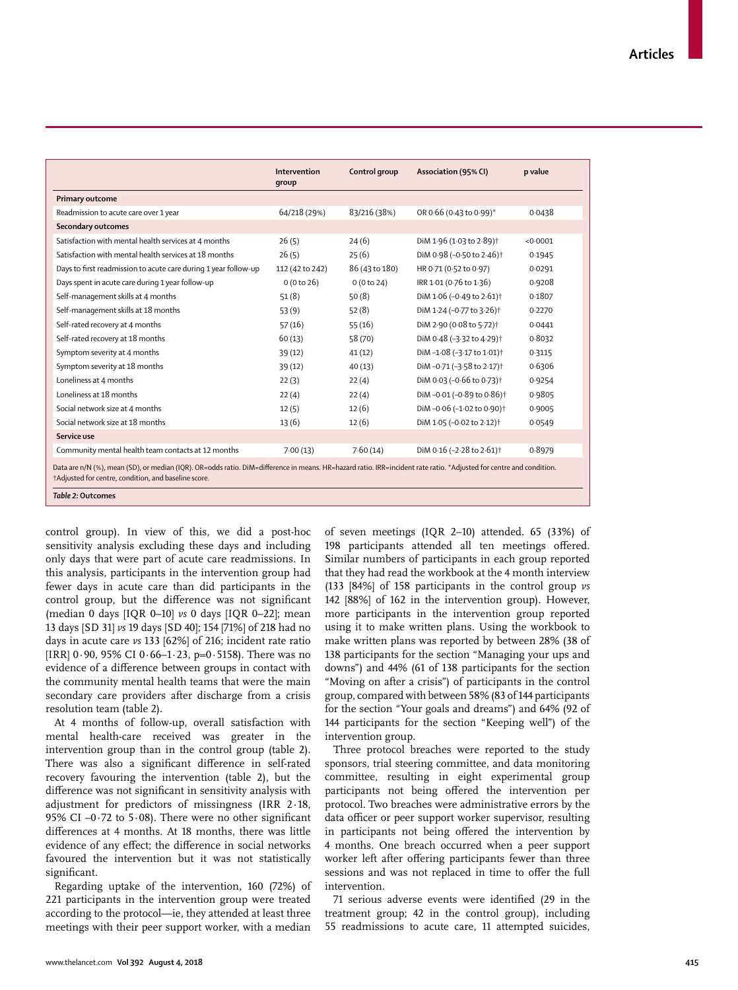|                                                                                                                                                                                                                             | Intervention<br>qroup | Control group  | Association (95% CI)                  | p value  |
|-----------------------------------------------------------------------------------------------------------------------------------------------------------------------------------------------------------------------------|-----------------------|----------------|---------------------------------------|----------|
| <b>Primary outcome</b>                                                                                                                                                                                                      |                       |                |                                       |          |
| Readmission to acute care over 1 year                                                                                                                                                                                       | 64/218 (29%)          | 83/216 (38%)   | OR 0.66 (0.43 to 0.99)*               | 0.0438   |
| <b>Secondary outcomes</b>                                                                                                                                                                                                   |                       |                |                                       |          |
| Satisfaction with mental health services at 4 months                                                                                                                                                                        | 26(5)                 | 24(6)          | DiM 1.96 (1.03 to 2.89) <sup>†</sup>  | < 0.0001 |
| Satisfaction with mental health services at 18 months                                                                                                                                                                       | 26(5)                 | 25(6)          | DiM 0.98 (-0.50 to 2.46) <sup>+</sup> | 0.1945   |
| Days to first readmission to acute care during 1 year follow-up                                                                                                                                                             | 112 (42 to 242)       | 86 (43 to 180) | HR 0.71 (0.52 to 0.97)                | 0.0291   |
| Days spent in acute care during 1 year follow-up                                                                                                                                                                            | 0(0 to 26)            | 0(0 to 24)     | IRR 1.01 (0.76 to 1.36)               | 0.9208   |
| Self-management skills at 4 months                                                                                                                                                                                          | 51(8)                 | 50(8)          | DiM 1.06 (-0.49 to 2.61) <sup>+</sup> | 0.1807   |
| Self-management skills at 18 months                                                                                                                                                                                         | 53(9)                 | 52(8)          | DiM 1.24 (-0.77 to 3.26) <sup>+</sup> | 0.2270   |
| Self-rated recovery at 4 months                                                                                                                                                                                             | 57(16)                | 55(16)         | DiM 2.90 (0.08 to 5.72) <sup>†</sup>  | 0.0441   |
| Self-rated recovery at 18 months                                                                                                                                                                                            | 60(13)                | 58 (70)        | DiM 0.48 (-3.32 to 4.29) <sup>†</sup> | 0.8032   |
| Symptom severity at 4 months                                                                                                                                                                                                | 39(12)                | 41(12)         | DiM-1.08 (-3.17 to 1.01) <sup>+</sup> | 0.3115   |
| Symptom severity at 18 months                                                                                                                                                                                               | 39(12)                | 40(13)         | DiM-0.71 (-3.58 to 2.17) <sup>+</sup> | 0.6306   |
| Loneliness at 4 months                                                                                                                                                                                                      | 22(3)                 | 22(4)          | DiM 0.03 (-0.66 to 0.73) <sup>†</sup> | 0.9254   |
| Loneliness at 18 months                                                                                                                                                                                                     | 22(4)                 | 22(4)          | DiM-0.01 (-0.89 to 0.86) <sup>+</sup> | 0.9805   |
| Social network size at 4 months                                                                                                                                                                                             | 12(5)                 | 12(6)          | DiM-0.06 (-1.02 to 0.90) <sup>†</sup> | 0.9005   |
| Social network size at 18 months                                                                                                                                                                                            | 13(6)                 | 12(6)          | DiM 1.05 (-0.02 to 2.12) <sup>†</sup> | 0.0549   |
| Service use                                                                                                                                                                                                                 |                       |                |                                       |          |
| Community mental health team contacts at 12 months                                                                                                                                                                          | 7.00(13)              | 7.60(14)       | DiM 0.16 (-2.28 to 2.61) <sup>†</sup> | 0.8979   |
| Data are n/N (%), mean (SD), or median (IQR). OR=odds ratio. DiM=difference in means. HR=hazard ratio. IRR=incident rate ratio. *Adjusted for centre and condition.<br>tAdjusted for centre, condition, and baseline score. |                       |                |                                       |          |

control group). In view of this, we did a post-hoc sensitivity analysis excluding these days and including only days that were part of acute care readmissions. In this analysis, participants in the intervention group had fewer days in acute care than did participants in the control group, but the difference was not significant (median 0 days [IQR 0–10] *vs* 0 days [IQR 0–22]; mean 13 days [SD 31] *vs* 19 days [SD 40]; 154 [71%] of 218 had no days in acute care *vs* 133 [62%] of 216; incident rate ratio [IRR] 0·90, 95% CI 0·66–1·23, p=0·5158). There was no evidence of a difference between groups in contact with the community mental health teams that were the main secondary care providers after discharge from a crisis resolution team (table 2).

At 4 months of follow-up, overall satisfaction with mental health-care received was greater in the intervention group than in the control group (table 2). There was also a significant difference in self-rated recovery favouring the intervention (table 2), but the difference was not significant in sensitivity analysis with adjustment for predictors of missingness (IRR 2·18, 95% CI  $-0.72$  to 5.08). There were no other significant differences at 4 months. At 18 months, there was little evidence of any effect; the difference in social networks favoured the intervention but it was not statistically significant.

Regarding uptake of the intervention, 160 (72%) of 221 participants in the intervention group were treated according to the protocol—ie, they attended at least three meetings with their peer support worker, with a median

of seven meetings (IQR 2–10) attended. 65 (33%) of 198 participants attended all ten meetings offered. Similar numbers of participants in each group reported that they had read the workbook at the 4 month interview (133 [84%] of 158 participants in the control group *vs* 142 [88%] of 162 in the intervention group). However, more participants in the intervention group reported using it to make written plans. Using the workbook to make written plans was reported by between 28% (38 of 138 participants for the section "Managing your ups and downs") and 44% (61 of 138 participants for the section "Moving on after a crisis") of participants in the control group, compared with between 58% (83 of 144 participants for the section "Your goals and dreams") and 64% (92 of 144 participants for the section "Keeping well") of the intervention group.

Three protocol breaches were reported to the study sponsors, trial steering committee, and data monitoring committee, resulting in eight experimental group participants not being offered the intervention per protocol. Two breaches were administrative errors by the data officer or peer support worker supervisor, resulting in participants not being offered the intervention by 4 months. One breach occurred when a peer support worker left after offering participants fewer than three sessions and was not replaced in time to offer the full intervention.

71 serious adverse events were identified (29 in the treatment group; 42 in the control group), including 55 readmissions to acute care, 11 attempted suicides,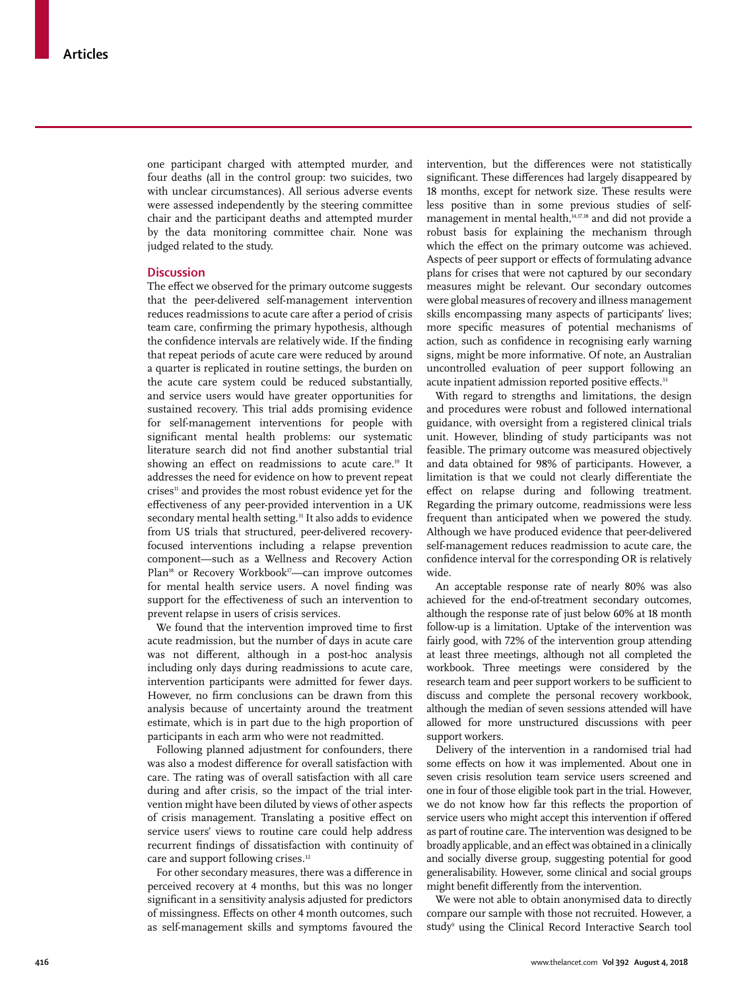one participant charged with attempted murder, and four deaths (all in the control group: two suicides, two with unclear circumstances). All serious adverse events were assessed independently by the steering committee chair and the participant deaths and attempted murder by the data monitoring committee chair. None was judged related to the study.

## **Discussion**

The effect we observed for the primary outcome suggests that the peer-delivered self-management intervention reduces readmissions to acute care after a period of crisis team care, confirming the primary hypothesis, although the confidence intervals are relatively wide. If the finding that repeat periods of acute care were reduced by around a quarter is replicated in routine settings, the burden on the acute care system could be reduced substantially, and service users would have greater opportunities for sustained recovery. This trial adds promising evidence for self-management interventions for people with significant mental health problems: our systematic literature search did not find another substantial trial showing an effect on readmissions to acute care.<sup>19</sup> It addresses the need for evidence on how to prevent repeat  $c$ rises<sup>11</sup> and provides the most robust evidence yet for the effectiveness of any peer-provided intervention in a UK secondary mental health setting.<sup>31</sup> It also adds to evidence from US trials that structured, peer-delivered recoveryfocused interventions including a relapse prevention component—such as a Wellness and Recovery Action Plan<sup>18</sup> or Recovery Workbook<sup>17</sup>—can improve outcomes for mental health service users. A novel finding was support for the effectiveness of such an intervention to prevent relapse in users of crisis services.

We found that the intervention improved time to first acute readmission, but the number of days in acute care was not different, although in a post-hoc analysis including only days during readmissions to acute care, intervention participants were admitted for fewer days. However, no firm conclusions can be drawn from this analysis because of uncertainty around the treatment estimate, which is in part due to the high proportion of participants in each arm who were not readmitted.

Following planned adjustment for confounders, there was also a modest difference for overall satisfaction with care. The rating was of overall satisfaction with all care during and after crisis, so the impact of the trial intervention might have been diluted by views of other aspects of crisis management. Translating a positive effect on service users' views to routine care could help address recurrent findings of dissatisfaction with continuity of care and support following crises.<sup>32</sup>

For other secondary measures, there was a difference in perceived recovery at 4 months, but this was no longer significant in a sensitivity analysis adjusted for predictors of missingness. Effects on other 4 month outcomes, such as self-management skills and symptoms favoured the intervention, but the differences were not statistically significant. These differences had largely disappeared by 18 months, except for network size. These results were less positive than in some previous studies of selfmanagement in mental health,<sup>14,17,18</sup> and did not provide a robust basis for explaining the mechanism through which the effect on the primary outcome was achieved. Aspects of peer support or effects of formulating advance plans for crises that were not captured by our secondary measures might be relevant. Our secondary outcomes were global measures of recovery and illness management skills encompassing many aspects of participants' lives; more specific measures of potential mechanisms of action, such as confidence in recognising early warning signs, might be more informative. Of note, an Australian uncontrolled evaluation of peer support following an acute inpatient admission reported positive effects.<sup>33</sup>

With regard to strengths and limitations, the design and procedures were robust and followed international guidance, with oversight from a registered clinical trials unit. However, blinding of study participants was not feasible. The primary outcome was measured objectively and data obtained for 98% of participants. However, a limitation is that we could not clearly differentiate the effect on relapse during and following treatment. Regarding the primary outcome, readmissions were less frequent than anticipated when we powered the study. Although we have produced evidence that peer-delivered self-management reduces readmission to acute care, the confidence interval for the corresponding OR is relatively wide.

An acceptable response rate of nearly 80% was also achieved for the end-of-treatment secondary outcomes, although the response rate of just below 60% at 18 month follow-up is a limitation. Uptake of the intervention was fairly good, with 72% of the intervention group attending at least three meetings, although not all completed the workbook. Three meetings were considered by the research team and peer support workers to be sufficient to discuss and complete the personal recovery workbook, although the median of seven sessions attended will have allowed for more unstructured discussions with peer support workers.

Delivery of the intervention in a randomised trial had some effects on how it was implemented. About one in seven crisis resolution team service users screened and one in four of those eligible took part in the trial. However, we do not know how far this reflects the proportion of service users who might accept this intervention if offered as part of routine care. The intervention was designed to be broadly applicable, and an effect was obtained in a clinically and socially diverse group, suggesting potential for good generalisability. However, some clinical and social groups might benefit differently from the intervention.

We were not able to obtain anonymised data to directly compare our sample with those not recruited. However, a study<sup>9</sup> using the Clinical Record Interactive Search tool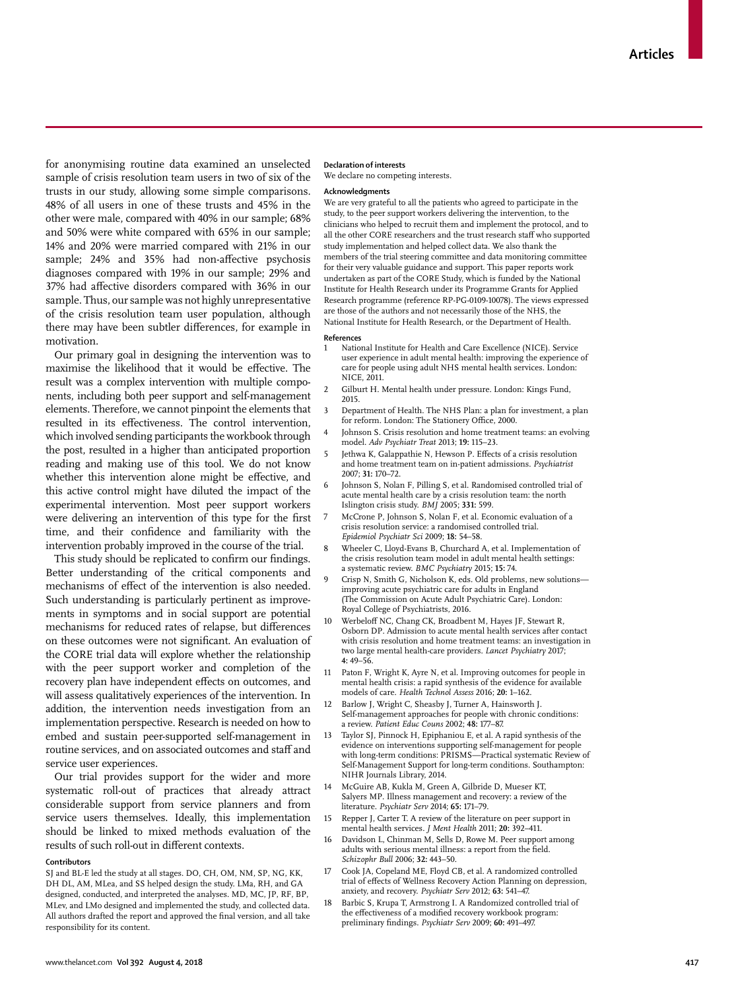for anonymising routine data examined an unselected sample of crisis resolution team users in two of six of the trusts in our study, allowing some simple comparisons. 48% of all users in one of these trusts and 45% in the other were male, compared with 40% in our sample; 68% and 50% were white compared with 65% in our sample; 14% and 20% were married compared with 21% in our sample; 24% and 35% had non-affective psychosis diagnoses compared with 19% in our sample; 29% and 37% had affective disorders compared with 36% in our sample. Thus, our sample was not highly unrepresentative of the crisis resolution team user population, although there may have been subtler differences, for example in motivation.

Our primary goal in designing the intervention was to maximise the likelihood that it would be effective. The result was a complex intervention with multiple components, including both peer support and self-management elements. Therefore, we cannot pinpoint the elements that resulted in its effectiveness. The control intervention, which involved sending participants the workbook through the post, resulted in a higher than anticipated proportion reading and making use of this tool. We do not know whether this intervention alone might be effective, and this active control might have diluted the impact of the experimental intervention. Most peer support workers were delivering an intervention of this type for the first time, and their confidence and familiarity with the intervention probably improved in the course of the trial.

This study should be replicated to confirm our findings. Better understanding of the critical components and mechanisms of effect of the intervention is also needed. Such understanding is particularly pertinent as improvements in symptoms and in social support are potential mechanisms for reduced rates of relapse, but differences on these outcomes were not significant. An evaluation of the CORE trial data will explore whether the relationship with the peer support worker and completion of the recovery plan have independent effects on outcomes, and will assess qualitatively experiences of the intervention. In addition, the intervention needs investigation from an implementation perspective. Research is needed on how to embed and sustain peer-supported self-management in routine services, and on associated outcomes and staff and service user experiences.

Our trial provides support for the wider and more systematic roll-out of practices that already attract considerable support from service planners and from service users themselves. Ideally, this implementation should be linked to mixed methods evaluation of the results of such roll-out in different contexts.

### **Contributors**

SJ and BL-E led the study at all stages. DO, CH, OM, NM, SP, NG, KK, DH DL, AM, MLea, and SS helped design the study. LMa, RH, and GA designed, conducted, and interpreted the analyses. MD, MC, JP, RF, BP, MLev, and LMo designed and implemented the study, and collected data. All authors drafted the report and approved the final version, and all take responsibility for its content.

#### **Declaration of interests**

We declare no competing interests.

#### **Acknowledgments**

We are very grateful to all the patients who agreed to participate in the study, to the peer support workers delivering the intervention, to the clinicians who helped to recruit them and implement the protocol, and to all the other CORE researchers and the trust research staff who supported study implementation and helped collect data. We also thank the members of the trial steering committee and data monitoring committee for their very valuable guidance and support. This paper reports work undertaken as part of the CORE Study, which is funded by the National Institute for Health Research under its Programme Grants for Applied Research programme (reference RP-PG-0109-10078). The views expressed are those of the authors and not necessarily those of the NHS, the National Institute for Health Research, or the Department of Health.

#### **References**

- National Institute for Health and Care Excellence (NICE). Service user experience in adult mental health: improving the experience of care for people using adult NHS mental health services. London: NICE, 2011.
- 2 Gilburt H. Mental health under pressure. London: Kings Fund, 2015.
- 3 Department of Health. The NHS Plan: a plan for investment, a plan for reform. London: The Stationery Office, 2000.
- Johnson S. Crisis resolution and home treatment teams: an evolving model. *Adv Psychiatr Treat* 2013; **19:** 115–23.
- 5 Jethwa K, Galappathie N, Hewson P. Effects of a crisis resolution and home treatment team on in-patient admissions. *Psychiatrist* 2007; **31:** 170–72.
- Johnson S, Nolan F, Pilling S, et al. Randomised controlled trial of acute mental health care by a crisis resolution team: the north Islington crisis study. *BMJ* 2005; **331:** 599.
- McCrone P, Johnson S, Nolan F, et al. Economic evaluation of a crisis resolution service: a randomised controlled trial. *Epidemiol Psychiatr Sci* 2009; **18:** 54–58.
- Wheeler C, Lloyd-Evans B, Churchard A, et al. Implementation of the crisis resolution team model in adult mental health settings: a systematic review. *BMC Psychiatry* 2015; **15:** 74.
- 9 Crisp N, Smith G, Nicholson K, eds. Old problems, new solutions improving acute psychiatric care for adults in England (The Commission on Acute Adult Psychiatric Care). London: Royal College of Psychiatrists, 2016.
- Werbeloff NC, Chang CK, Broadbent M, Hayes JF, Stewart R, Osborn DP. Admission to acute mental health services after contact with crisis resolution and home treatment teams: an investigation in two large mental health-care providers. *Lancet Psychiatry* 2017; **4:** 49–56.
- 11 Paton F, Wright K, Ayre N, et al. Improving outcomes for people in mental health crisis: a rapid synthesis of the evidence for available models of care. *Health Technol Assess* 2016; **20:** 1–162.
- 12 Barlow J, Wright C, Sheasby J, Turner A, Hainsworth J. Self-management approaches for people with chronic conditions: a review. *Patient Educ Couns* 2002; **48:** 177–87.
- 13 Taylor SJ, Pinnock H, Epiphaniou E, et al. A rapid synthesis of the evidence on interventions supporting self-management for people with long-term conditions: PRISMS—Practical systematic Review of Self-Management Support for long-term conditions. Southampton: NIHR Journals Library, 2014.
- 14 McGuire AB, Kukla M, Green A, Gilbride D, Mueser KT, Salyers MP. Illness management and recovery: a review of the literature. *Psychiatr Serv* 2014; **65:** 171–79.
- Repper J, Carter T. A review of the literature on peer support in mental health services. *J Ment Health* 2011; **20:** 392–411.
- Davidson L, Chinman M, Sells D, Rowe M. Peer support among adults with serious mental illness: a report from the field. *Schizophr Bull* 2006; **32:** 443–50.
- 17 Cook JA, Copeland ME, Floyd CB, et al. A randomized controlled trial of effects of Wellness Recovery Action Planning on depression, anxiety, and recovery. *Psychiatr Serv* 2012; **63:** 541–47.
- 18 Barbic S, Krupa T, Armstrong I. A Randomized controlled trial of the effectiveness of a modified recovery workbook program: preliminary findings. *Psychiatr Serv* 2009; **60:** 491–497.